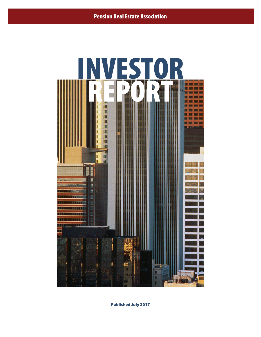

Published July 2017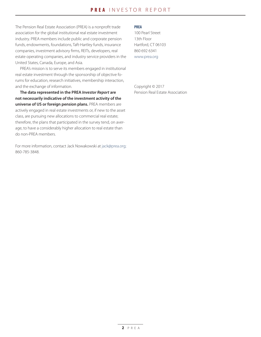The Pension Real Estate Association (PREA) is a nonprofit trade association for the global institutional real estate investment industry. PREA members include public and corporate pension funds, endowments, foundations, Taft-Hartley funds, insurance companies, investment advisory firms, REITs, developers, real estate operating companies, and industry service providers in the United States, Canada, Europe, and Asia.

PREA's mission is to serve its members engaged in institutional real estate investment through the sponsorship of objective forums for education, research initiatives, membership interaction, and the exchange of information.

**The data represented in the PREA** *Investor Report* **are not necessarily indicative of the investment activity of the universe of US or foreign pension plans.** PREA members are actively engaged in real estate investments or, if new to the asset class, are pursuing new allocations to commercial real estate; therefore, the plans that participated in the survey tend, on average, to have a considerably higher allocation to real estate than do non-PREA members.

For more information, contact Jack Nowakowski at jack@prea.org; 860-785-3848.

## **PREA**

100 Pearl Street 13th Floor Hartford, CT 06103 860 692 6341 www.prea.org

Copyright © 2017 Pension Real Estate Association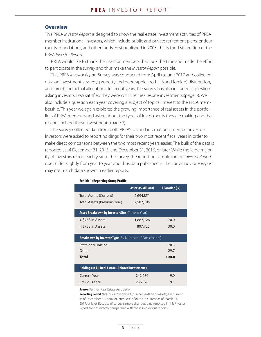## **Overview**

This PREA *Investor Report* is designed to show the real estate investment activities of PREA member institutional investors, which include public and private retirement plans, endowments, foundations, and other funds. First published in 2003, this is the 13th edition of the PREA *Investor Report*.

PREA would like to thank the investor members that took the time and made the effort to participate in the survey and thus make the *Investor Report* possible.

This PREA *Investor Report* Survey was conducted from April to June 2017 and collected data on investment strategy, property and geographic (both US and foreign) distribution, and target and actual allocations. In recent years, the survey has also included a question asking investors how satisfied they were with their real estate investments (page 5). We also include a question each year covering a subject of topical interest to the PREA membership. This year we again explored the growing importance of real assets in the portfolios of PREA members and asked about the types of investments they are making and the reasons behind those investments (page 7).

The survey collected data from both PREA's US and international member investors. Investors were asked to report holdings for their two most recent fiscal years in order to make direct comparisons between the two most recent years easier. The bulk of the data is reported as of December 31, 2015, and December 31, 2016, or later. While the large majority of investors report each year to the survey, the reporting sample for the *Investor Report* does differ slightly from year to year, and thus data published in the current *Investor Report* may not match data shown in earlier reports.

|                                                               | Assets (\$ Millions) | <b>Allocation (%)</b> |
|---------------------------------------------------------------|----------------------|-----------------------|
| <b>Total Assets (Current)</b>                                 | 2,694,851            |                       |
| Total Assets (Previous Year)                                  | 2,587,185            |                       |
| <b>Asset Breakdown by Investor Size (Current Year)</b>        |                      |                       |
| > \$75B in Assets                                             | 1,887,126            | 70.0                  |
| < \$75B in Assets                                             | 807,725              | 30.0                  |
| <b>Breakdown by Investor Type</b> (By Number of Participants) |                      |                       |
| State or Municipal                                            |                      | 70.3                  |
| Other                                                         |                      | 29.7                  |
| Total                                                         |                      | 100.0                 |
| <b>Holdings in All Real Estate-Related Investments</b>        |                      |                       |
| <b>Current Year</b>                                           | 242,086              | 9.0                   |
| Previous Year                                                 | 236,570              | 9.1                   |
| <b>Source:</b> Pension Real Estate Association                |                      |                       |

#### Exhibit 1: Reporting Group Profile

Reporting Period: 97% of data reported (as a percentage of assets) are current as of December 31, 2016, or later; 34% of data are current as of March 31, 2017, or later. Because of survey sample changes, data reported in this *Investor Report* are not directly comparable with those in previous reports.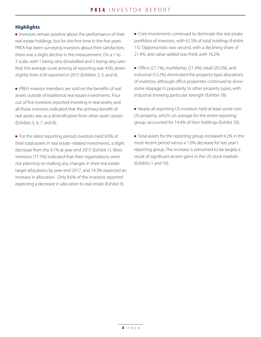# **Highlights**

 $\blacksquare$  Investors remain positive about the performance of their real estate holdings, but for the first time in the five years PREA has been surveying investors about their satisfaction, there was a slight decline in the measurement. On a 1 to 5 scale, with 1 being very dissatisfied and 5 being very satisfied, the average score among all reporting was 4.00, down slightly from 4.09 reported in 2015 (Exhibits 2, 3, and 4).

<sup>n</sup> PREA investor members are sold on the benefits of real assets outside of traditional real estate investments. Four out of five investors reported investing in real assets, and all those investors indicated that the primary benefit of real assets was as a diversification from other asset classes (Exhibits 5, 6, 7, and 8).

<sup>n</sup> For the latest reporting period, investors held 9.0% of their total assets in real estate–related investments, a slight decrease from the 9.1% at year-end 2015 (Exhibit 1). Most investors (77.1%) indicated that their organizations were not planning on making any changes in their real estate target allocations by year-end 2017, and 14.3% expected an increase in allocation. Only 8.6% of the investors reported expecting a decrease in allocation to real estate (Exhibit 9).

 $\blacksquare$  Core investments continued to dominate the real estate portfolios of investors, with 62.5% of total holdings (Exhibit 15). Opportunistic was second, with a declining share of 21.4%, and value-added was third, with 16.2%.

- $\blacksquare$  Office (27.1%), multifamily (21.4%), retail (20.2%), and industrial (13.2%) dominated the property-type allocations of investors, although office properties continued to show some slippage in popularity to other property types, with industrial showing particular strength (Exhibit 18).
- n Nearly all reporting US investors held at least some non-US property, which, on average for the entire reporting group, accounted for 14.4% of their holdings (Exhibit 20).
- Total assets for the reporting group increased 4.2% in the most recent period versus a 1.0% decrease for last year's reporting group. The increase is presumed to be largely a result of significant recent gains in the US stock markets (Exhibits 1 and 10).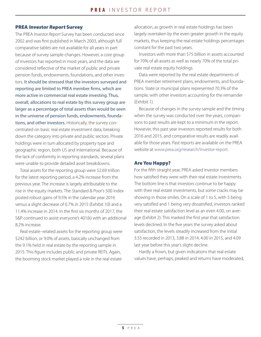## PREA Investor Report Survey

The PREA *Investor Report* Survey has been conducted since 2002 and was first published in March 2003, although full comparative tables are not available for all years in part because of survey sample changes. However, a core group of investors has reported in most years, and the data are considered reflective of the market of public and private pension funds, endowments, foundations, and other investors. It should be stressed that the investors surveyed and reporting are limited to PREA member firms, which are more active in commercial real estate investing. Thus, overall, allocations to real estate by this survey group are larger as a percentage of total assets than would be seen in the universe of pension funds, endowments, foundations, and other investors. Historically, the survey concentrated on basic real estate investment data, breaking down the category into private and public sectors. Private holdings were in turn allocated by property type and geographic region, both US and international. Because of the lack of conformity in reporting standards, several plans were unable to provide detailed asset breakdowns.

Total assets for the reporting group were \$2.69 trillion for the latest reporting period, a 4.2% increase from the previous year. The increase is largely attributable to the rise in the equity markets. The Standard & Poor's 500 index posted robust gains of 9.5% in the calendar year 2016 versus a slight decrease of 0.7% in 2015 (Exhibit 10) and a 11.4% increase in 2014. In the first six months of 2017, the S&P continued to assist everyone's 401(k) with an additional 8.2% increase.

Real estate–related assets for the reporting group were \$242 billion, or 9.0% of assets, basically unchanged from the 9.1% held in real estate by the reporting sample in 2015. This figure includes public and private REITs. Again, the booming stock market played a role in the real estate

allocation, as growth in real estate holdings has been largely overtaken by the even greater growth in the equity markets, thus keeping the real estate holdings percentages constant for the past two years.

Investors with more than \$75 billion in assets accounted for 70% of all assets as well as nearly 70% of the total private real estate equity holdings.

Data were reported by the real estate departments of PREA member retirement plans, endowments, and foundations. State or municipal plans represented 70.3% of the sample, with other investors accounting for the remainder (Exhibit 1).

Because of changes in the survey sample and the timing when the survey was conducted over the years, comparisons to past results are kept to a minimum in the report. However, this past year investors reported results for both 2016 and 2015, and comparative results are readily available for those years. Past reports are available on the PREA website at www.prea.org/research/investor-report.

# Are You Happy?

For the fifth straight year, PREA asked investor members how satisfied they were with their real estate investments. The bottom line is that investors continue to be happy with their real estate investments, but some cracks may be showing in those smiles. On a scale of 1 to 5, with 5 being very satisfied and 1 being very dissatisfied, investors ranked their real estate satisfaction level as an even 4.00, on average (Exhibit 2). This marked the first year that satisfaction levels declined. In the five years the survey asked about satisfaction, the levels steadily increased from the initial 3.55 recorded in 2013, 3.88 in 2014, 4.00 in 2015, and 4.09 last year before this year's slight decline.

Hardly a frown, but given indications that real estate values have, perhaps, peaked and returns have moderated,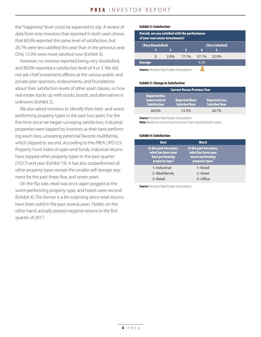the "happiness" level could be expected to slip. A review of data from only investors that reported in both years shows that 60.0% reported the same level of satisfaction, but 26.7% were less satisfied this year than in the previous year. Only 13.3% were more satisfied now (Exhibit 3).

However, no investor reported being very dissatisfied, and 80.0% reported a satisfaction level of 4 or 5. We did not ask chief investment officers at the various public and private plan sponsors, endowments, and foundations about their satisfaction levels of other asset classes, so how real estate stacks up with stocks, bonds, and alternatives is unknown (Exhibit 2).

We also asked investors to identify their best- and worstperforming property types in the past two years. For the first time since we began surveying satisfaction, industrial properties were tapped by investors as their best-performing asset class, unseating perennial favorite multifamily, which slipped to second. According to the PREA | IPD U.S. Property Fund Index of open-end funds, industrial returns have topped other property types in the past quarter (1Q17) and year (Exhibit 19). It has also outperformed all other property types except the smaller self-storage segment for the past three, five, and seven years.

On the flip side, retail was once again pegged as the worst-performing property type, and hotels were second (Exhibit 4). The former is a bit surprising since retail returns have been solid in the past several years. Hotels, on the other hand, actually posted negative returns in the first quarter of 2017.

## **Exhibit 2: Satisfaction**

| Overall, are you satisfied with the performance<br>of your real estate investments? |          |      |       |       |       |  |  |
|-------------------------------------------------------------------------------------|----------|------|-------|-------|-------|--|--|
| (Very Dissatisfied)<br>(Very Satisfied)                                             |          |      |       |       |       |  |  |
|                                                                                     |          |      | ર     |       |       |  |  |
|                                                                                     | $\Omega$ | 2.9% | 17.1% | 57.1% | 22.9% |  |  |
| <b>Average</b>                                                                      |          |      |       | 4.00  |       |  |  |
| <b>Source:</b> Pension Real Estate Association                                      |          |      |       |       |       |  |  |

## **Exhibit 3: Change in Satisfaction**

| <b>Current Versus Previous Year</b>                                |                                              |                                              |  |  |  |  |
|--------------------------------------------------------------------|----------------------------------------------|----------------------------------------------|--|--|--|--|
| <b>Reported the</b><br><b>Same Level of</b><br><b>Satisfaction</b> | <b>Reported More</b><br><b>Satisfied Now</b> | <b>Reported Less</b><br><b>Satisfied Now</b> |  |  |  |  |
| 60.0%                                                              | 13.3%                                        | $26.7\%$                                     |  |  |  |  |

**Source: Pension Real Estate Association** Note: Based on only those investors that reported both years.

### **Exhibit 4: Satisfaction**

| <b>Best</b>                                                                       | <b>Worst</b>                                                                       |  |
|-----------------------------------------------------------------------------------|------------------------------------------------------------------------------------|--|
| In the past two years,<br>what has been your<br>best-performing<br>property type? | In the past two years,<br>what has been your<br>worst-performing<br>property type? |  |
| 1-Industrial<br>2-Multifamily<br>3-Retail                                         | 1-Retail<br>2-Hotel<br>3-Office                                                    |  |
|                                                                                   |                                                                                    |  |

**Source:** Pension Real Estate Association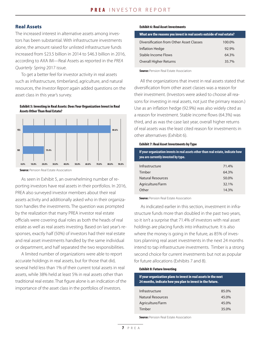# Real Assets

The increased interest in alternative assets among investors has been substantial. With infrastructure investments alone, the amount raised for unlisted infrastructure funds increased from \$23.5 billion in 2014 to \$46.3 billion in 2016, according to AXA IM—Real Assets as reported in the *PREA Quarterly Spring* 2017 issue.

To get a better feel for investor activity in real assets such as infrastructure, timberland, agriculture, and natural resources, the *Investor Report* again added questions on the asset class in this year's survey.





**Source: Pension Real Estate Association** 

As seen in Exhibit 5, an overwhelming number of reporting investors have real assets in their portfolios. In 2016, PREA also surveyed investor members about their real assets activity and additionally asked who in their organization handles the investments. The question was prompted by the realization that many PREA investor real estate officials were covering dual roles as both the heads of real estate as well as real assets investing. Based on last year's responses, exactly half (50%) of investors had their real estate and real asset investments handled by the same individual or department, and half separated the two responsibilities.

A limited number of organizations were able to report accurate holdings in real assets, but for those that did, several held less than 1% of their current total assets in real assets, while 38% held at least 5% in real assets other than traditional real estate. That figure alone is an indication of the importance of the asset class in the portfolios of investors.

#### Exhibit 6: Real Asset Investments

| What are the reasons you invest in real assets outside of real estate? |        |  |  |
|------------------------------------------------------------------------|--------|--|--|
| Diversification from Other Asset Classes                               | 100.0% |  |  |
| Inflation Hedge                                                        | 92.9%  |  |  |
| Stable Income Flows                                                    | 64.3%  |  |  |
| <b>Overall Higher Returns</b>                                          | 35.7%  |  |  |

**Source: Pension Real Estate Association** 

All the organizations that invest in real assets stated that diversification from other asset classes was a reason for their investment. (Investors were asked to choose all reasons for investing in real assets, not just the primary reason.) Use as an inflation hedge (92.9%) was also widely cited as a reason for investment. Stable income flows (64.3%) was third, and as was the case last year, overall higher returns of real assets was the least cited reason for investments in other alternatives (Exhibit 6).

#### Exhibit 7: Real Asset Investments by Type

| If your organization invests in real assets other than real estate, indicate how<br>you are currently invested by type. |       |  |  |  |
|-------------------------------------------------------------------------------------------------------------------------|-------|--|--|--|
| Infrastructure                                                                                                          | 71.4% |  |  |  |
| Timber                                                                                                                  | 64.3% |  |  |  |
| Natural Resources                                                                                                       | 50.0% |  |  |  |
| Agriculture/Farm                                                                                                        | 32.1% |  |  |  |
| Other                                                                                                                   | 14.3% |  |  |  |

**Source: Pension Real Estate Association** 

As indicated earlier in this section, investment in infrastructure funds more than doubled in the past two years, so it isn't a surprise that 71.4% of investors with real asset holdings are placing funds into infrastructure. It is also where the money is going in the future, as 85% of investors planning real asset investments in the next 24 months intend to tap infrastructure investments. Timber is a strong second choice for current investments but not as popular for future allocations (Exhibits 7 and 8).

### Exhibit 8: Future Investing

| If your organization plans to invest in real assets in the next<br>24 months, indicate how you plan to invest in the future. |       |  |  |  |
|------------------------------------------------------------------------------------------------------------------------------|-------|--|--|--|
| Infrastructure                                                                                                               | 85.0% |  |  |  |
| Natural Resources                                                                                                            | 45.0% |  |  |  |
| Agriculture/Farm                                                                                                             | 45.0% |  |  |  |
| Timber                                                                                                                       | 35.0% |  |  |  |

**Source:** Pension Real Estate Association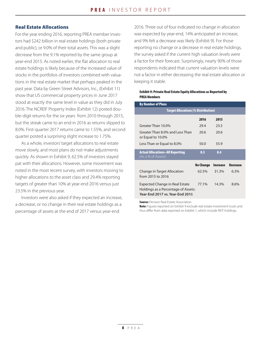# Real Estate Allocations

For the year ending 2016, reporting PREA member investors had \$242 billion in real estate holdings (both private and public), or 9.0% of their total assets. This was a slight decrease from the 9.1% reported by the same group at year-end 2015. As noted earlier, the flat allocation to real estate holdings is likely because of the increased value of stocks in the portfolios of investors combined with valuations in the real estate market that perhaps peaked in the past year. Data by Green Street Advisors, Inc., (Exhibit 11) show that US commercial property prices in June 2017 stood at exactly the same level in value as they did in July 2016. The NCREIF Property Index (Exhibit 12) posted double-digit returns for the six years from 2010 through 2015, but the streak came to an end in 2016 as returns slipped to 8.0%. First-quarter 2017 returns came to 1.55%, and second quarter posted a surprising slight increase to 1.75%.

As a whole, investors' target allocations to real estate move slowly, and most plans do not make adjustments quickly. As shown in Exhibit 9, 62.5% of investors stayed pat with their allocations. However, some movement was noted in the most recent survey, with investors moving to higher allocations to the asset class and 29.4% reporting targets of greater than 10% at year-end 2016 versus just 23.5% in the previous year.

Investors were also asked if they expected an increase, a decrease, or no change in their real estate holdings as a percentage of assets at the end of 2017 versus year-end

2016. Three out of four indicated no change in allocation was expected by year-end, 14% anticipated an increase, and 9% felt a decrease was likely (Exhibit 9). For those reporting no change or a decrease in real estate holdings, the survey asked if the current high valuation levels were a factor for their forecast. Surprisingly, nearly 90% of those respondents indicated that current valuation levels were not a factor in either decreasing the real estate allocation or keeping it stable.

## Exhibit 9: Private Real Estate Equity Allocations as Reported by PREA Members

| <b>By Number of Plans</b>                                                                                       |           |          |                 |  |  |  |  |  |
|-----------------------------------------------------------------------------------------------------------------|-----------|----------|-----------------|--|--|--|--|--|
| <b>Target Allocations (% Distribution)</b>                                                                      |           |          |                 |  |  |  |  |  |
|                                                                                                                 | 2016      | 2015     |                 |  |  |  |  |  |
| Greater Than 10.0%                                                                                              | 29.4      | 23.5     |                 |  |  |  |  |  |
| Greater Than 8.0% and Less Than<br>or Equal to 10.0%                                                            | 20.6      | 20.6     |                 |  |  |  |  |  |
| Less Than or Equal to 8.0%                                                                                      | 50.0      | 55.9     |                 |  |  |  |  |  |
| <b>Actual Allocations-All Reporting</b><br>(As a % of Assets)                                                   | 8.3       | 8.4      |                 |  |  |  |  |  |
|                                                                                                                 | No Change | Increase | <b>Decrease</b> |  |  |  |  |  |
| Change in Target Allocation<br>from 2015 to 2016                                                                | 62.5%     | 31.3%    | 6.3%            |  |  |  |  |  |
| Expected Change in Real Estate<br>Holdings as a Percentage of Assets:<br><b>Year-End 2017 vs. Year-End 2016</b> | 77.1%     | 14.3%    | 8.6%            |  |  |  |  |  |

**Source: Pension Real Estate Association** 

Note: Figures reported on Exhibit 9 exclude real estate investment trusts and thus differ from data reported on Exbibit 1, which include REIT holdings.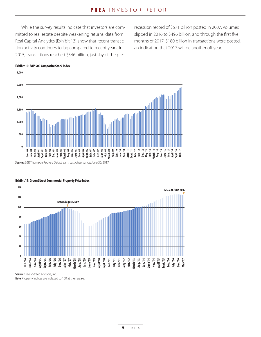While the survey results indicate that investors are committed to real estate despite weakening returns, data from Real Capital Analytics (Exhibit 13) show that recent transaction activity continues to lag compared to recent years. In 2015, transactions reached \$546 billion, just shy of the prerecession record of \$571 billion posted in 2007. Volumes slipped in 2016 to \$496 billion, and through the first five months of 2017, \$180 billion in transactions were posted, an indication that 2017 will be another off year.



#### Exhibit 10: S&P 500 Composite Stock Index

**Sources:** S&P, Thomson Reuters Datastream. Last observance: June 30, 2017.



#### Exhibit 11: Green Street Commercial Property Price Index

**Source:** Green Street Advisors, Inc. **Note:** Property indices are indexed to 100 at their peaks.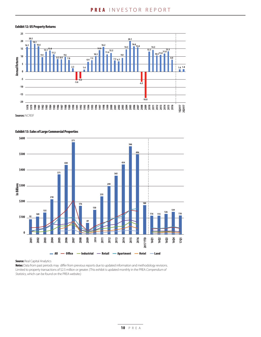#### Exhibit 12: US Property Returns





Exhibit 13: Sales of Large Commercial Properties

**Source: Real Capital Analytics** 

Notes: Data from past periods may differ from previous reports due to updated information and methodology revisions. Limited to property transactions of \$2.5 million or greater. (This exhibit is updated monthly in the PREA *Compendium of Statistics,* which can be found on the PREA website.)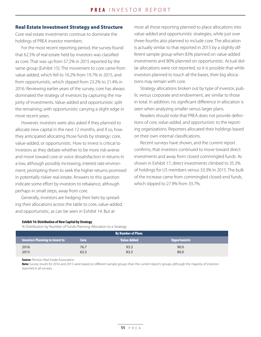# Real Estate Investment Strategy and Structure

Core real estate investments continue to dominate the holdings of PREA investor members.

For the most recent reporting period, the survey found that 62.5% of real estate held by investors was classified as core. That was up from 57.2% in 2015 reported by the same group (Exhibit 15). The movement to core came from value-added, which fell to 16.2% from 19.7% in 2015, and from opportunistic, which slipped from 23.2% to 21.4% in 2016. Reviewing earlier years of the survey, core has always dominated the strategy of investors by capturing the majority of investments. Value-added and opportunistic split the remaining, with opportunistic carrying a slight edge in more recent years.

However, investors were also asked if they planned to allocate new capital in the next 12 months, and if so, how they anticipated allocating those funds by strategy: core, value-added, or opportunistic. How to invest is critical to investors as they debate whether to be more risk-averse and move toward core or voice dissatisfaction in returns in a low, although possibly increasing, interest rate environment, prompting them to seek the higher returns promised in potentially riskier real estate. Answers to this question indicate some effort by investors to rebalance, although perhaps in small steps, away from core.

Generally, investors are hedging their bets by spreading their allocations across the table to core, value-added, and opportunistic, as can be seen in Exhibit 14. But almost all those reporting planned to place allocations into value-added and opportunistic strategies, while just over three-fourths also planned to include core. The allocation is actually similar to that reported in 2015 by a slightly different sample group when 83% planned on value-added investments and 80% planned on opportunistic. Actual dollar allocations were not reported, so it is possible that while investors planned to touch all the bases, their big allocations may remain with core.

Strategy allocations broken out by type of investor, public versus corporate and endowment, are similar to those in total. In addition, no significant difference in allocation is seen when analyzing smaller versus larger plans.

Readers should note that PREA does not provide definitions of *core, value-added,* and *opportunistic* to the reporting organizations. Reporters allocated their holdings based on their own internal classifications.

Recent surveys have shown, and the current report confirms, that investors continued to move toward direct investments and away from closed commingled funds. As shown in Exhibit 17, direct investments climbed to 35.3% of holdings for US members versus 33.3% in 2015. The bulk of the increase came from commingled closed-end funds, which slipped to 27.9% from 33.7%.

#### Exhibit 14: Distribution of New Capital by Strategy

% Distribution by Number of Funds Planning Allocation to a Strategy

| <b>By Number of Plans</b>              |      |                    |                      |  |  |
|----------------------------------------|------|--------------------|----------------------|--|--|
| <b>Investors Planning to Invest In</b> | Core | <b>Value-Added</b> | <b>Opportunistic</b> |  |  |
| 2016                                   | 76.7 | 93.3               | 90.0                 |  |  |
| 2015                                   | 63.3 | 83.3               | 80.0                 |  |  |

**Source:** Pension Real Estate Association

Note: Survey results for 2016 and 2015 were based on different sample groups than the current report's groups, although the majority of investors reported in all surveys.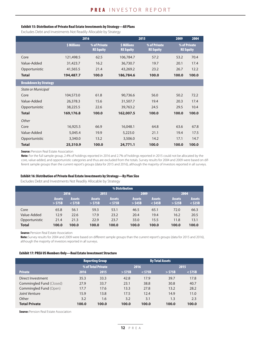#### Exhibit 15: Distribution of Private Real Estate Investments by Strategy—All Plans

Excludes Debt and Investments Not Readily Allocable by Strategy

|                              | 2016        |                                  |                                 | 2015                             | 2009  | 2004                             |
|------------------------------|-------------|----------------------------------|---------------------------------|----------------------------------|-------|----------------------------------|
|                              | \$ Millions | % of Private<br><b>RE Equity</b> | \$ Millions<br><b>RE Equity</b> | % of Private<br><b>RE Equity</b> |       | % of Private<br><b>RE Equity</b> |
| Core                         | 121,498.5   | 62.5                             | 106,784.7                       | 57.2                             | 53.2  | 70.4                             |
| Value-Added                  | 31,423.7    | 16.2                             | 36,730.7                        | 19.7                             | 20.1  | 17.4                             |
| Opportunistic                | 41,565.5    | 21.4                             | 43,269.2                        | 23.2                             | 26.7  | 12.2                             |
| <b>Total</b>                 | 194,487.7   | 100.0                            | 186,784.6                       | 100.0                            | 100.0 | 100.0                            |
| <b>Breakdown by Strategy</b> |             |                                  |                                 |                                  |       |                                  |
| <b>State or Municipal</b>    |             |                                  |                                 |                                  |       |                                  |
| Core                         | 104,573.0   | 61.8                             | 90,736.6                        | 56.0                             | 50.2  | 72.2                             |
| Value-Added                  | 26,378.3    | 15.6                             | 31,507.7                        | 19.4                             | 20.3  | 17.4                             |
| Opportunistic                | 38,225.5    | 22.6                             | 39,763.2                        | 24.5                             | 29.5  | 10.4                             |
| <b>Total</b>                 | 169,176.8   | 100.0                            | 162,007.5                       | 100.0                            | 100.0 | 100.0                            |
| Other                        |             |                                  |                                 |                                  |       |                                  |
| Core                         | 16,925.5    | 66.9                             | 16,048.1                        | 64.8                             | 63.6  | 67.8                             |
| Value-Added                  | 5,045.4     | 19.9                             | 5,223.0                         | 21.1                             | 19.4  | 17.5                             |
| Opportunistic                | 3,340.0     | 13.2                             | 3,506.0                         | 14.2                             | 17.1  | 14.7                             |
| <b>Total</b>                 | 25,310.9    | 100.0                            | 24,771.1                        | 100.0                            | 100.0 | 100.0                            |

**Source:** Pension Real Estate Association

Note: For the full sample group, 2.4% of holdings reported in 2016 and 2.7% of holdings reported in 2015 could not be allocated by the core, value-added, and opportunistic categories and thus are excluded from the totals. Survey results for 2004 and 2009 were based on different sample groups than the current report's groups (data for 2015 and 2016), although the majority of investors reported in all surveys.

#### Exhibit 16: Distribution of Private Real Estate Investments by Strategy—By Plan Size

Excludes Debt and Investments Not Readily Allocable by Strategy

|               | % Distribution             |                            |                            |                            |                            |                            |                            |                            |  |
|---------------|----------------------------|----------------------------|----------------------------|----------------------------|----------------------------|----------------------------|----------------------------|----------------------------|--|
|               | 2016                       |                            |                            | 2015                       |                            | 2009                       |                            | 2004                       |  |
|               | <b>Assets</b><br>$>$ \$75B | <b>Assets</b><br>$<$ \$75B | <b>Assets</b><br>$>$ \$75B | <b>Assets</b><br>$<$ \$75B | <b>Assets</b><br>$>$ \$45B | <b>Assets</b><br>$<$ \$45B | <b>Assets</b><br>$>$ \$25B | <b>Assets</b><br>$<$ \$25B |  |
| Core          | 65.8                       | 56.1                       | 59.3                       | 53.1                       | 46.5                       | 65.1                       | 72.0                       | 66.3                       |  |
| Value-Added   | 12.9                       | 22.6                       | 17.9                       | 23.2                       | 20.4                       | 19.4                       | 16.2                       | 20.5                       |  |
| Opportunistic | 21.4                       | 21.3                       | 22.9                       | 23.7                       | 33.0                       | 15.5                       | 11.8                       | 13.1                       |  |
| <b>Total</b>  | 100.0                      | 100.0                      | 100.0                      | 100.0                      | 100.0                      | 100.0                      | 100.0                      | 100.0                      |  |

**Source:** Pension Real Estate Association

Note: Survey results for 2004 and 2009 were based on different sample groups than the current report's groups (data for 2015 and 2016), although the majority of investors reported in all surveys.

## Exhibit 17: PREA US Members Only—Real Estate Investment Structure

|                               |       | <b>Reporting Group</b> |           | <b>By Total Assets</b> |           |           |
|-------------------------------|-------|------------------------|-----------|------------------------|-----------|-----------|
|                               |       | % of Total Private     |           | 2016                   |           | 2015      |
| <b>Private</b>                | 2016  | 2015                   | $>$ \$75B | $<$ \$75B              | $>$ \$75B | $<$ \$75B |
| Direct Investment             | 35.3  | 33.3                   | 42.8      | 17.9                   | 39.7      | 17.8      |
| Commingled Fund (Closed)      | 27.9  | 33.7                   | 23.1      | 38.8                   | 30.8      | 40.7      |
| <b>Commingled Fund (Open)</b> | 17.7  | 17.6                   | 13.3      | 27.8                   | 13.2      | 28.2      |
| Joint Venture                 | 15.9  | 13.8                   | 17.5      | 12.4                   | 14.9      | 11.0      |
| Other                         | 3.2   | 1.6                    | 3.2       | 3.1                    | 1.3       | 2.3       |
| <b>Total Private</b>          | 100.0 | 100.0                  | 100.0     | 100.0                  | 100.0     | 100.0     |

**Source: Pension Real Estate Association**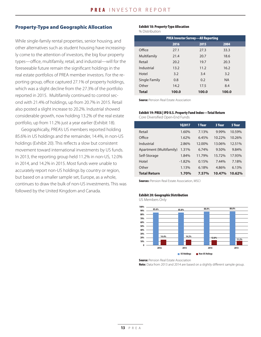# Property-Type and Geographic Allocation

While single-family rental properties, senior housing, and other alternatives such as student housing have increasingly come to the attention of investors, the big four property types—office, multifamily, retail, and industrial—will for the foreseeable future remain the significant holdings in the real estate portfolios of PREA member investors. For the reporting group, office captured 27.1% of property holdings, which was a slight decline from the 27.3% of the portfolio reported in 2015. Multifamily continued to control second with 21.4% of holdings, up from 20.7% in 2015. Retail also posted a slight increase to 20.2%. Industrial showed considerable growth, now holding 13.2% of the real estate portfolio, up from 11.2% just a year earlier (Exhibit 18).

Geographically, PREA's US members reported holding 85.6% in US holdings and the remainder, 14.4%, in non-US holdings (Exhibit 20). This reflects a slow but consistent movement toward international investments by US funds. In 2013, the reporting group held 11.2% in non-US, 12.0% in 2014, and 14.2% in 2015. Most funds were unable to accurately report non-US holdings by country or region, but based on a smaller sample set, Europe, as a whole, continues to draw the bulk of non-US investments. This was followed by the United Kingdom and Canada.

### Exhibit 18: Property-Type Allocation

% Distribution

| <b>PREA Investor Survey-All Reporting</b> |       |       |           |  |  |
|-------------------------------------------|-------|-------|-----------|--|--|
|                                           | 2016  | 2015  | 2004      |  |  |
| Office                                    | 27.1  | 27.3  | 33.3      |  |  |
| Multifamily                               | 21.4  | 20.7  | 18.6      |  |  |
| Retail                                    | 20.2  | 19.7  | 20.3      |  |  |
| Industrial                                | 13.2  | 11.2  | 16.2      |  |  |
| Hotel                                     | 3.2   | 3.4   | 3.2       |  |  |
| Single Family                             | 0.8   | 0.2   | <b>NA</b> |  |  |
| Other                                     | 14.2  | 17.5  | 8.4       |  |  |
| <b>Total</b>                              | 100.0 | 100.0 | 100.0     |  |  |

**Source: Pension Real Estate Association** 

## Exhibit 19: PREA | IPD U.S. Property Fund Index—Total Return Core Diversified Open-End Funds

|                         | 102017   | 1 Year | 3 Year | 5 Year |
|-------------------------|----------|--------|--------|--------|
| Retail                  | 1.60%    | 7.13%  | 9.99%  | 10.59% |
| Office                  | 1.62%    | 6.45%  | 10.22% | 10.26% |
| Industrial              | 2.86%    | 12.00% | 13.06% | 12.51% |
| Apartment (Multifamily) | 1.31%    | 6.74%  | 9.50%  | 9.84%  |
| Self-Storage            | 1.84%    | 11.79% | 15.72% | 17.93% |
| Hotel                   | $-1.82%$ | 0.15%  | 7.44%  | 7.18%  |
| Other                   | 1.13%    | 6.18%  | 4.86%  | 6.13%  |
| <b>Total Return</b>     | 1.70%    | 7.57%  | 10.47% | 10.62% |

**Sources:** Pension Real Estate Association, MSCI

#### Exhibit 20: Geographic Distribution

US Members Only



**Source: Pension Real Estate Association** 

Note: Data from 2013 and 2014 are based on a slightly different sample group.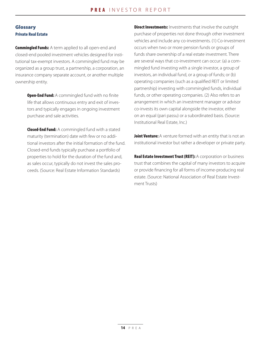# Glossary Private Real Estate

**Commingled Funds:** A term applied to all open-end and closed-end pooled investment vehicles designed for institutional tax-exempt investors. A commingled fund may be organized as a group trust, a partnership, a corporation, an insurance company separate account, or another multiple ownership entity.

> **Open-End Fund:** A commingled fund with no finite life that allows continuous entry and exit of investors and typically engages in ongoing investment purchase and sale activities.

**Closed-End Fund:** A commingled fund with a stated maturity (termination) date with few or no additional investors after the initial formation of the fund. Closed-end funds typically purchase a portfolio of properties to hold for the duration of the fund and, as sales occur, typically do not invest the sales proceeds. (Source: Real Estate Information Standards)

**Direct Investments:** Investments that involve the outright purchase of properties not done through other investment vehicles and include any co-investments. (1) Co-investment occurs when two or more pension funds or groups of funds share ownership of a real estate investment. There are several ways that co-investment can occur: (a) a commingled fund investing with a single investor, a group of investors, an individual fund, or a group of funds; or (b) operating companies (such as a qualified REIT or limited partnership) investing with commingled funds, individual funds, or other operating companies. (2) Also refers to an arrangement in which an investment manager or advisor co-invests its own capital alongside the investor, either on an equal (pari passu) or a subordinated basis. (Source: Institutional Real Estate, Inc.)

Joint Venture: A venture formed with an entity that is not an institutional investor but rather a developer or private party.

Real Estate Investment Trust (REIT): A corporation or business trust that combines the capital of many investors to acquire or provide financing for all forms of income-producing real estate. (Source: National Association of Real Estate Investment Trusts)